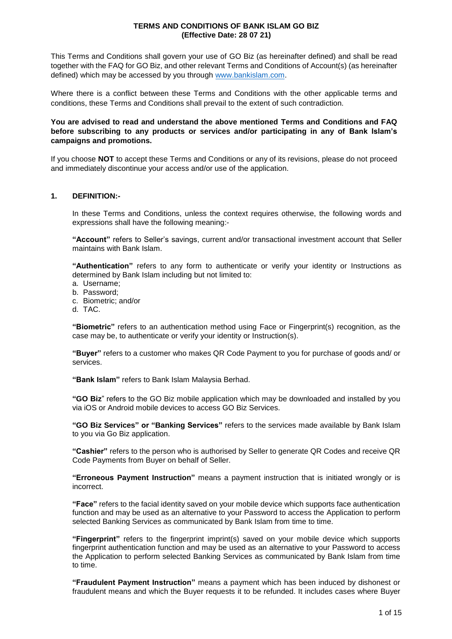This Terms and Conditions shall govern your use of GO Biz (as hereinafter defined) and shall be read together with the FAQ for GO Biz, and other relevant Terms and Conditions of Account(s) (as hereinafter defined) which may be accessed by you through [www.bankislam.com.](http://www.bankislam.com/)

Where there is a conflict between these Terms and Conditions with the other applicable terms and conditions, these Terms and Conditions shall prevail to the extent of such contradiction.

## **You are advised to read and understand the above mentioned Terms and Conditions and FAQ before subscribing to any products or services and/or participating in any of Bank Islam's campaigns and promotions.**

If you choose **NOT** to accept these Terms and Conditions or any of its revisions, please do not proceed and immediately discontinue your access and/or use of the application.

### **1. DEFINITION:-**

In these Terms and Conditions, unless the context requires otherwise, the following words and expressions shall have the following meaning:-

**"Account"** refers to Seller's savings, current and/or transactional investment account that Seller maintains with Bank Islam.

**"Authentication"** refers to any form to authenticate or verify your identity or Instructions as determined by Bank Islam including but not limited to:

- a. Username;
- b. Password;
- c. Biometric; and/or
- d. TAC.

**"Biometric"** refers to an authentication method using Face or Fingerprint(s) recognition, as the case may be, to authenticate or verify your identity or Instruction(s).

**"Buyer"** refers to a customer who makes QR Code Payment to you for purchase of goods and/ or services.

**"Bank Islam"** refers to Bank Islam Malaysia Berhad.

**"GO Biz**" refers to the GO Biz mobile application which may be downloaded and installed by you via iOS or Android mobile devices to access GO Biz Services.

**"GO Biz Services" or "Banking Services"** refers to the services made available by Bank Islam to you via Go Biz application.

**"Cashier"** refers to the person who is authorised by Seller to generate QR Codes and receive QR Code Payments from Buyer on behalf of Seller.

**"Erroneous Payment Instruction"** means a payment instruction that is initiated wrongly or is incorrect.

**"Face"** refers to the facial identity saved on your mobile device which supports face authentication function and may be used as an alternative to your Password to access the Application to perform selected Banking Services as communicated by Bank Islam from time to time.

**"Fingerprint"** refers to the fingerprint imprint(s) saved on your mobile device which supports fingerprint authentication function and may be used as an alternative to your Password to access the Application to perform selected Banking Services as communicated by Bank Islam from time to time.

**"Fraudulent Payment Instruction"** means a payment which has been induced by dishonest or fraudulent means and which the Buyer requests it to be refunded. It includes cases where Buyer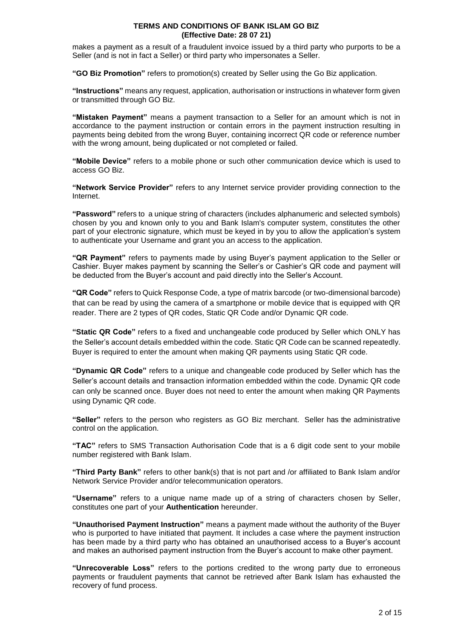makes a payment as a result of a fraudulent invoice issued by a third party who purports to be a Seller (and is not in fact a Seller) or third party who impersonates a Seller.

**"GO Biz Promotion"** refers to promotion(s) created by Seller using the Go Biz application.

**"Instructions"** means any request, application, authorisation or instructions in whatever form given or transmitted through GO Biz.

**"Mistaken Payment"** means a payment transaction to a Seller for an amount which is not in accordance to the payment instruction or contain errors in the payment instruction resulting in payments being debited from the wrong Buyer, containing incorrect QR code or reference number with the wrong amount, being duplicated or not completed or failed.

**"Mobile Device"** refers to a mobile phone or such other communication device which is used to access GO Biz.

**"Network Service Provider"** refers to any Internet service provider providing connection to the Internet.

**"Password"** refers to a unique string of characters (includes alphanumeric and selected symbols) chosen by you and known only to you and Bank Islam's computer system, constitutes the other part of your electronic signature, which must be keyed in by you to allow the application's system to authenticate your Username and grant you an access to the application.

**"QR Payment"** refers to payments made by using Buyer's payment application to the Seller or Cashier. Buyer makes payment by scanning the Seller's or Cashier's QR code and payment will be deducted from the Buyer's account and paid directly into the Seller's Account.

**"QR Code"** refers to Quick Response Code, a type of matrix barcode (or two-dimensional barcode) that can be read by using the camera of a smartphone or mobile device that is equipped with QR reader. There are 2 types of QR codes, Static QR Code and/or Dynamic QR code.

**"Static QR Code"** refers to a fixed and unchangeable code produced by Seller which ONLY has the Seller's account details embedded within the code. Static QR Code can be scanned repeatedly. Buyer is required to enter the amount when making QR payments using Static QR code.

**"Dynamic QR Code"** refers to a unique and changeable code produced by Seller which has the Seller's account details and transaction information embedded within the code. Dynamic QR code can only be scanned once. Buyer does not need to enter the amount when making QR Payments using Dynamic QR code.

**"Seller"** refers to the person who registers as GO Biz merchant. Seller has the administrative control on the application.

**"TAC"** refers to SMS Transaction Authorisation Code that is a 6 digit code sent to your mobile number registered with Bank Islam.

**"Third Party Bank"** refers to other bank(s) that is not part and /or affiliated to Bank Islam and/or Network Service Provider and/or telecommunication operators.

**"Username"** refers to a unique name made up of a string of characters chosen by Seller, constitutes one part of your **Authentication** hereunder.

**"Unauthorised Payment Instruction"** means a payment made without the authority of the Buyer who is purported to have initiated that payment. It includes a case where the payment instruction has been made by a third party who has obtained an unauthorised access to a Buyer's account and makes an authorised payment instruction from the Buyer's account to make other payment.

**"Unrecoverable Loss"** refers to the portions credited to the wrong party due to erroneous payments or fraudulent payments that cannot be retrieved after Bank Islam has exhausted the recovery of fund process.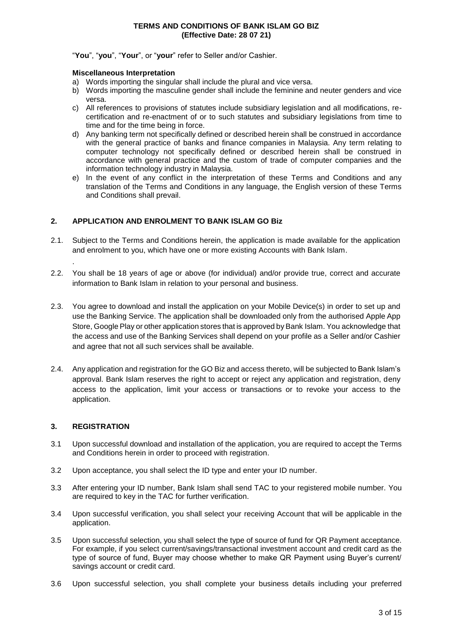#### "**You**", "**you**", "**Your**", or "**your**" refer to Seller and/or Cashier.

#### **Miscellaneous Interpretation**

- a) Words importing the singular shall include the plural and vice versa.
- b) Words importing the masculine gender shall include the feminine and neuter genders and vice versa.
- c) All references to provisions of statutes include subsidiary legislation and all modifications, recertification and re-enactment of or to such statutes and subsidiary legislations from time to time and for the time being in force.
- d) Any banking term not specifically defined or described herein shall be construed in accordance with the general practice of banks and finance companies in Malaysia. Any term relating to computer technology not specifically defined or described herein shall be construed in accordance with general practice and the custom of trade of computer companies and the information technology industry in Malaysia.
- e) In the event of any conflict in the interpretation of these Terms and Conditions and any translation of the Terms and Conditions in any language, the English version of these Terms and Conditions shall prevail.

# **2. APPLICATION AND ENROLMENT TO BANK ISLAM GO Biz**

- 2.1. Subject to the Terms and Conditions herein, the application is made available for the application and enrolment to you, which have one or more existing Accounts with Bank Islam.
- 2.2. You shall be 18 years of age or above (for individual) and/or provide true, correct and accurate information to Bank Islam in relation to your personal and business.
- 2.3. You agree to download and install the application on your Mobile Device(s) in order to set up and use the Banking Service. The application shall be downloaded only from the authorised Apple App Store, Google Play or other application stores that is approved by Bank Islam. You acknowledge that the access and use of the Banking Services shall depend on your profile as a Seller and/or Cashier and agree that not all such services shall be available.
- 2.4. Any application and registration for the GO Biz and access thereto, will be subjected to Bank Islam's approval. Bank Islam reserves the right to accept or reject any application and registration, deny access to the application, limit your access or transactions or to revoke your access to the application.

# **3. REGISTRATION**

.

- 3.1 Upon successful download and installation of the application, you are required to accept the Terms and Conditions herein in order to proceed with registration.
- 3.2 Upon acceptance, you shall select the ID type and enter your ID number.
- 3.3 After entering your ID number, Bank Islam shall send TAC to your registered mobile number. You are required to key in the TAC for further verification.
- 3.4 Upon successful verification, you shall select your receiving Account that will be applicable in the application.
- 3.5 Upon successful selection, you shall select the type of source of fund for QR Payment acceptance. For example, if you select current/savings/transactional investment account and credit card as the type of source of fund, Buyer may choose whether to make QR Payment using Buyer's current/ savings account or credit card.
- 3.6 Upon successful selection, you shall complete your business details including your preferred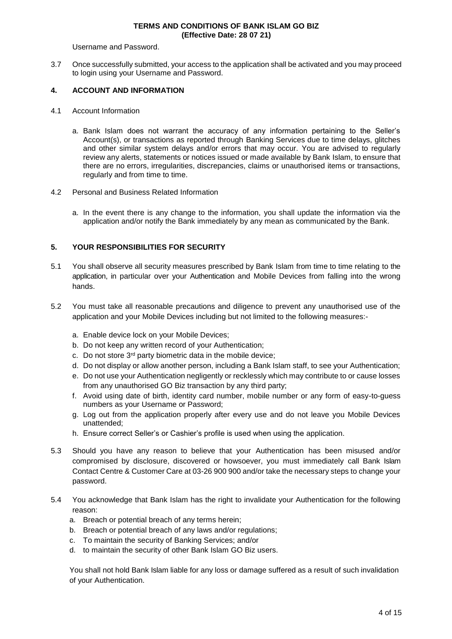Username and Password.

3.7 Once successfully submitted, your access to the application shall be activated and you may proceed to login using your Username and Password.

### **4. ACCOUNT AND INFORMATION**

- 4.1 Account Information
	- a. Bank Islam does not warrant the accuracy of any information pertaining to the Seller's Account(s), or transactions as reported through Banking Services due to time delays, glitches and other similar system delays and/or errors that may occur. You are advised to regularly review any alerts, statements or notices issued or made available by Bank Islam, to ensure that there are no errors, irregularities, discrepancies, claims or unauthorised items or transactions, regularly and from time to time.

#### 4.2 Personal and Business Related Information

a. In the event there is any change to the information, you shall update the information via the application and/or notify the Bank immediately by any mean as communicated by the Bank.

### **5. YOUR RESPONSIBILITIES FOR SECURITY**

- 5.1 You shall observe all security measures prescribed by Bank Islam from time to time relating to the application, in particular over your Authentication and Mobile Devices from falling into the wrong hands.
- 5.2 You must take all reasonable precautions and diligence to prevent any unauthorised use of the application and your Mobile Devices including but not limited to the following measures:
	- a. Enable device lock on your Mobile Devices;
	- b. Do not keep any written record of your Authentication;
	- c. Do not store  $3<sup>rd</sup>$  party biometric data in the mobile device;
	- d. Do not display or allow another person, including a Bank Islam staff, to see your Authentication;
	- e. Do not use your Authentication negligently or recklessly which may contribute to or cause losses from any unauthorised GO Biz transaction by any third party;
	- f. Avoid using date of birth, identity card number, mobile number or any form of easy-to-guess numbers as your Username or Password;
	- g. Log out from the application properly after every use and do not leave you Mobile Devices unattended;
	- h. Ensure correct Seller's or Cashier's profile is used when using the application.
- 5.3 Should you have any reason to believe that your Authentication has been misused and/or compromised by disclosure, discovered or howsoever, you must immediately call Bank Islam Contact Centre & Customer Care at 03-26 900 900 and/or take the necessary steps to change your password.
- 5.4 You acknowledge that Bank Islam has the right to invalidate your Authentication for the following reason:
	- a. Breach or potential breach of any terms herein;
	- b. Breach or potential breach of any laws and/or regulations;
	- c. To maintain the security of Banking Services; and/or
	- d. to maintain the security of other Bank Islam GO Biz users.

You shall not hold Bank Islam liable for any loss or damage suffered as a result of such invalidation of your Authentication.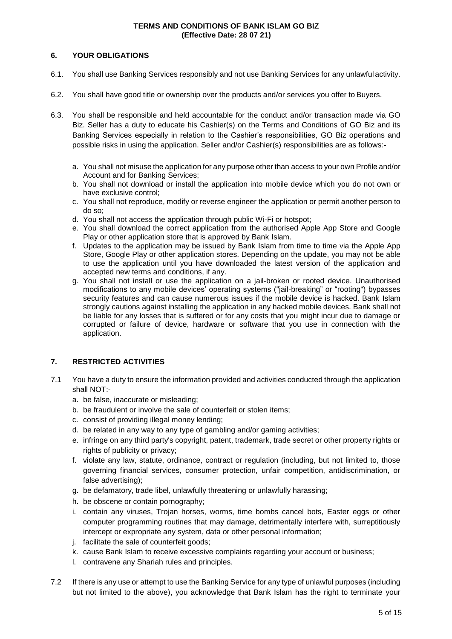# **6. YOUR OBLIGATIONS**

- 6.1. You shall use Banking Services responsibly and not use Banking Services for any unlawful activity.
- 6.2. You shall have good title or ownership over the products and/or services you offer to Buyers.
- 6.3. You shall be responsible and held accountable for the conduct and/or transaction made via GO Biz. Seller has a duty to educate his Cashier(s) on the Terms and Conditions of GO Biz and its Banking Services especially in relation to the Cashier's responsibilities, GO Biz operations and possible risks in using the application. Seller and/or Cashier(s) responsibilities are as follows:
	- a. You shall not misuse the application for any purpose other than access to your own Profile and/or Account and for Banking Services;
	- b. You shall not download or install the application into mobile device which you do not own or have exclusive control;
	- c. You shall not reproduce, modify or reverse engineer the application or permit another person to do so;
	- d. You shall not access the application through public Wi-Fi or hotspot;
	- e. You shall download the correct application from the authorised Apple App Store and Google Play or other application store that is approved by Bank Islam.
	- f. Updates to the application may be issued by Bank Islam from time to time via the Apple App Store, Google Play or other application stores. Depending on the update, you may not be able to use the application until you have downloaded the latest version of the application and accepted new terms and conditions, if any.
	- g. You shall not install or use the application on a jail-broken or rooted device. Unauthorised modifications to any mobile devices' operating systems ("jail-breaking" or "rooting") bypasses security features and can cause numerous issues if the mobile device is hacked. Bank Islam strongly cautions against installing the application in any hacked mobile devices. Bank shall not be liable for any losses that is suffered or for any costs that you might incur due to damage or corrupted or failure of device, hardware or software that you use in connection with the application.

# **7. RESTRICTED ACTIVITIES**

- 7.1 You have a duty to ensure the information provided and activities conducted through the application shall NOT:
	- a. be false, inaccurate or misleading;
	- b. be fraudulent or involve the sale of counterfeit or stolen items;
	- c. consist of providing illegal money lending;
	- d. be related in any way to any type of gambling and/or gaming activities;
	- e. infringe on any third party's copyright, patent, trademark, trade secret or other property rights or rights of publicity or privacy;
	- f. violate any law, statute, ordinance, contract or regulation (including, but not limited to, those governing financial services, consumer protection, unfair competition, antidiscrimination, or false advertising);
	- g. be defamatory, trade libel, unlawfully threatening or unlawfully harassing;
	- h. be obscene or contain pornography;
	- i. contain any viruses, Trojan horses, worms, time bombs cancel bots, Easter eggs or other computer programming routines that may damage, detrimentally interfere with, surreptitiously intercept or expropriate any system, data or other personal information;
	- j. facilitate the sale of counterfeit goods;
	- k. cause Bank Islam to receive excessive complaints regarding your account or business;
	- l. contravene any Shariah rules and principles.
- 7.2 If there is any use or attempt to use the Banking Service for any type of unlawful purposes (including but not limited to the above), you acknowledge that Bank Islam has the right to terminate your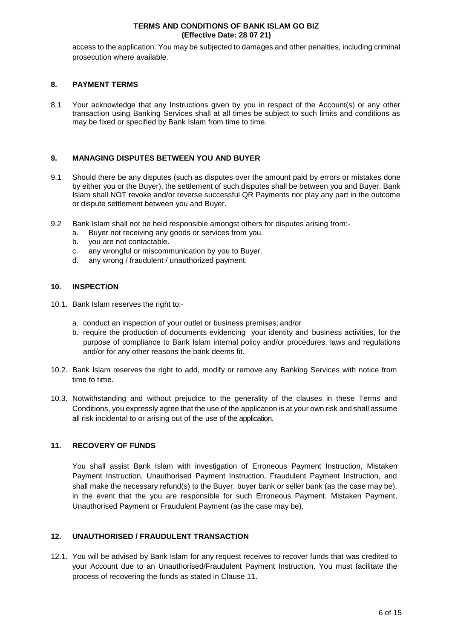access to the application. You may be subjected to damages and other penalties, including criminal prosecution where available.

### **8. PAYMENT TERMS**

8.1 Your acknowledge that any Instructions given by you in respect of the Account(s) or any other transaction using Banking Services shall at all times be subject to such limits and conditions as may be fixed or specified by Bank Islam from time to time.

# **9. MANAGING DISPUTES BETWEEN YOU AND BUYER**

- 9.1 Should there be any disputes (such as disputes over the amount paid by errors or mistakes done by either you or the Buyer), the settlement of such disputes shall be between you and Buyer. Bank Islam shall NOT revoke and/or reverse successful QR Payments nor play any part in the outcome or dispute settlement between you and Buyer.
- 9.2 Bank Islam shall not be held responsible amongst others for disputes arising from:
	- a. Buyer not receiving any goods or services from you.
	- b. you are not contactable.
	- c. any wrongful or miscommunication by you to Buyer.
	- d. any wrong / fraudulent / unauthorized payment.

### **10. INSPECTION**

- 10.1. Bank Islam reserves the right to:
	- a. conduct an inspection of your outlet or business premises; and/or
	- b. require the production of documents evidencing your identity and business activities, for the purpose of compliance to Bank Islam internal policy and/or procedures, laws and regulations and/or for any other reasons the bank deems fit.
- 10.2. Bank Islam reserves the right to add, modify or remove any Banking Services with notice from time to time.
- 10.3. Notwithstanding and without prejudice to the generality of the clauses in these Terms and Conditions, you expressly agree that the use of the application is at your own risk and shall assume all risk incidental to or arising out of the use of the application.

# **11. RECOVERY OF FUNDS**

You shall assist Bank Islam with investigation of Erroneous Payment Instruction, Mistaken Payment Instruction, Unauthorised Payment Instruction, Fraudulent Payment Instruction, and shall make the necessary refund(s) to the Buyer, buyer bank or seller bank (as the case may be), in the event that the you are responsible for such Erroneous Payment, Mistaken Payment, Unauthorised Payment or Fraudulent Payment (as the case may be).

# **12. UNAUTHORISED / FRAUDULENT TRANSACTION**

12.1. You will be advised by Bank Islam for any request receives to recover funds that was credited to your Account due to an Unauthorised/Fraudulent Payment Instruction. You must facilitate the process of recovering the funds as stated in Clause 11.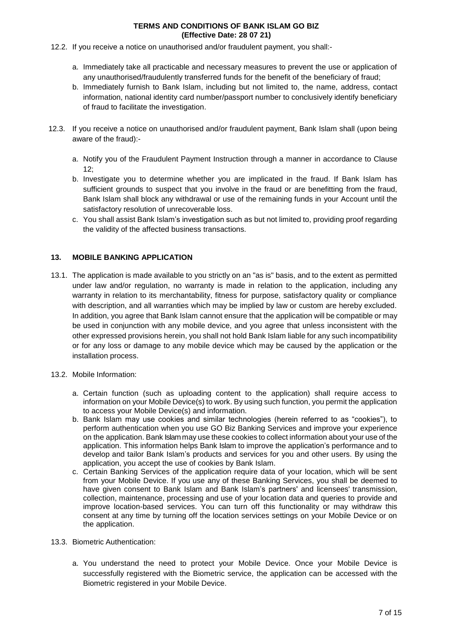- 12.2. If you receive a notice on unauthorised and/or fraudulent payment, you shall:
	- a. Immediately take all practicable and necessary measures to prevent the use or application of any unauthorised/fraudulently transferred funds for the benefit of the beneficiary of fraud;
	- b. Immediately furnish to Bank Islam, including but not limited to, the name, address, contact information, national identity card number/passport number to conclusively identify beneficiary of fraud to facilitate the investigation.
- 12.3. If you receive a notice on unauthorised and/or fraudulent payment, Bank Islam shall (upon being aware of the fraud):
	- a. Notify you of the Fraudulent Payment Instruction through a manner in accordance to Clause  $12.5$
	- b. Investigate you to determine whether you are implicated in the fraud. If Bank Islam has sufficient grounds to suspect that you involve in the fraud or are benefitting from the fraud, Bank Islam shall block any withdrawal or use of the remaining funds in your Account until the satisfactory resolution of unrecoverable loss.
	- c. You shall assist Bank Islam's investigation such as but not limited to, providing proof regarding the validity of the affected business transactions.

# **13. MOBILE BANKING APPLICATION**

- 13.1. The application is made available to you strictly on an "as is" basis, and to the extent as permitted under law and/or regulation, no warranty is made in relation to the application, including any warranty in relation to its merchantability, fitness for purpose, satisfactory quality or compliance with description, and all warranties which may be implied by law or custom are hereby excluded. In addition, you agree that Bank Islam cannot ensure that the application will be compatible or may be used in conjunction with any mobile device, and you agree that unless inconsistent with the other expressed provisions herein, you shall not hold Bank Islam liable for any such incompatibility or for any loss or damage to any mobile device which may be caused by the application or the installation process.
- 13.2. Mobile Information:
	- a. Certain function (such as uploading content to the application) shall require access to information on your Mobile Device(s) to work. By using such function, you permit the application to access your Mobile Device(s) and information.
	- b. Bank Islam may use cookies and similar technologies (herein referred to as "cookies"), to perform authentication when you use GO Biz Banking Services and improve your experience on the application. Bank Islam may use these cookies to collect information about your use of the application. This information helps Bank Islam to improve the application's performance and to develop and tailor Bank Islam's products and services for you and other users. By using the application, you accept the use of cookies by Bank Islam.
	- c. Certain Banking Services of the application require data of your location, which will be sent from your Mobile Device. If you use any of these Banking Services, you shall be deemed to have given consent to Bank Islam and Bank Islam's partners' and licensees' transmission, collection, maintenance, processing and use of your location data and queries to provide and improve location-based services. You can turn off this functionality or may withdraw this consent at any time by turning off the location services settings on your Mobile Device or on the application.

# 13.3. Biometric Authentication:

a. You understand the need to protect your Mobile Device. Once your Mobile Device is successfully registered with the Biometric service, the application can be accessed with the Biometric registered in your Mobile Device.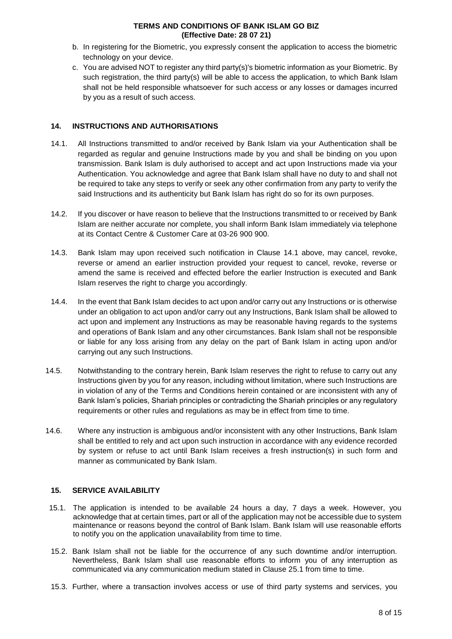- b. In registering for the Biometric, you expressly consent the application to access the biometric technology on your device.
- c. You are advised NOT to register any third party(s)'s biometric information as your Biometric. By such registration, the third party(s) will be able to access the application, to which Bank Islam shall not be held responsible whatsoever for such access or any losses or damages incurred by you as a result of such access.

# **14. INSTRUCTIONS AND AUTHORISATIONS**

- 14.1. All Instructions transmitted to and/or received by Bank Islam via your Authentication shall be regarded as regular and genuine Instructions made by you and shall be binding on you upon transmission. Bank Islam is duly authorised to accept and act upon Instructions made via your Authentication. You acknowledge and agree that Bank Islam shall have no duty to and shall not be required to take any steps to verify or seek any other confirmation from any party to verify the said Instructions and its authenticity but Bank Islam has right do so for its own purposes.
- 14.2. If you discover or have reason to believe that the Instructions transmitted to or received by Bank Islam are neither accurate nor complete, you shall inform Bank Islam immediately via telephone at its Contact Centre & Customer Care at 03-26 900 900.
- 14.3. Bank Islam may upon received such notification in Clause 14.1 above, may cancel, revoke, reverse or amend an earlier instruction provided your request to cancel, revoke, reverse or amend the same is received and effected before the earlier Instruction is executed and Bank Islam reserves the right to charge you accordingly.
- 14.4. In the event that Bank Islam decides to act upon and/or carry out any Instructions or is otherwise under an obligation to act upon and/or carry out any Instructions, Bank Islam shall be allowed to act upon and implement any Instructions as may be reasonable having regards to the systems and operations of Bank Islam and any other circumstances. Bank Islam shall not be responsible or liable for any loss arising from any delay on the part of Bank Islam in acting upon and/or carrying out any such Instructions.
- 14.5. Notwithstanding to the contrary herein, Bank Islam reserves the right to refuse to carry out any Instructions given by you for any reason, including without limitation, where such Instructions are in violation of any of the Terms and Conditions herein contained or are inconsistent with any of Bank Islam's policies, Shariah principles or contradicting the Shariah principles or any regulatory requirements or other rules and regulations as may be in effect from time to time.
- 14.6. Where any instruction is ambiguous and/or inconsistent with any other Instructions, Bank Islam shall be entitled to rely and act upon such instruction in accordance with any evidence recorded by system or refuse to act until Bank Islam receives a fresh instruction(s) in such form and manner as communicated by Bank Islam.

# **15. SERVICE AVAILABILITY**

- 15.1. The application is intended to be available 24 hours a day, 7 days a week. However, you acknowledge that at certain times, part or all of the application may not be accessible due to system maintenance or reasons beyond the control of Bank Islam. Bank Islam will use reasonable efforts to notify you on the application unavailability from time to time.
- 15.2. Bank Islam shall not be liable for the occurrence of any such downtime and/or interruption. Nevertheless, Bank Islam shall use reasonable efforts to inform you of any interruption as communicated via any communication medium stated in Clause 25.1 from time to time.
- 15.3. Further, where a transaction involves access or use of third party systems and services, you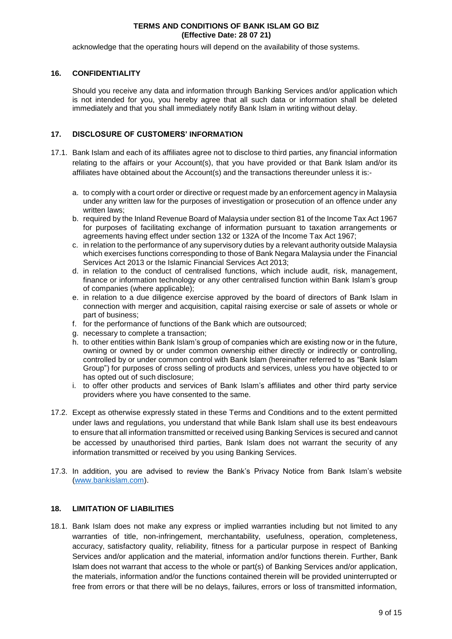acknowledge that the operating hours will depend on the availability of those systems.

# **16. CONFIDENTIALITY**

Should you receive any data and information through Banking Services and/or application which is not intended for you, you hereby agree that all such data or information shall be deleted immediately and that you shall immediately notify Bank Islam in writing without delay.

# **17. DISCLOSURE OF CUSTOMERS' INFORMATION**

- 17.1. Bank Islam and each of its affiliates agree not to disclose to third parties, any financial information relating to the affairs or your Account(s), that you have provided or that Bank Islam and/or its affiliates have obtained about the Account(s) and the transactions thereunder unless it is:
	- a. to comply with a court order or directive or request made by an enforcement agency in Malaysia under any written law for the purposes of investigation or prosecution of an offence under any written laws;
	- b. required by the Inland Revenue Board of Malaysia under section 81 of the Income Tax Act 1967 for purposes of facilitating exchange of information pursuant to taxation arrangements or agreements having effect under section 132 or 132A of the Income Tax Act 1967;
	- c. in relation to the performance of any supervisory duties by a relevant authority outside Malaysia which exercises functions corresponding to those of Bank Negara Malaysia under the Financial Services Act 2013 or the Islamic Financial Services Act 2013;
	- d. in relation to the conduct of centralised functions, which include audit, risk, management, finance or information technology or any other centralised function within Bank Islam's group of companies (where applicable);
	- e. in relation to a due diligence exercise approved by the board of directors of Bank Islam in connection with merger and acquisition, capital raising exercise or sale of assets or whole or part of business;
	- f. for the performance of functions of the Bank which are outsourced;
	- g. necessary to complete a transaction;
	- h. to other entities within Bank Islam's group of companies which are existing now or in the future, owning or owned by or under common ownership either directly or indirectly or controlling, controlled by or under common control with Bank Islam (hereinafter referred to as "Bank Islam Group") for purposes of cross selling of products and services, unless you have objected to or has opted out of such disclosure;
	- i. to offer other products and services of Bank Islam's affiliates and other third party service providers where you have consented to the same.
- 17.2. Except as otherwise expressly stated in these Terms and Conditions and to the extent permitted under laws and regulations, you understand that while Bank Islam shall use its best endeavours to ensure that all information transmitted or received using Banking Services is secured and cannot be accessed by unauthorised third parties, Bank Islam does not warrant the security of any information transmitted or received by you using Banking Services.
- 17.3. In addition, you are advised to review the Bank's Privacy Notice from Bank Islam's website [\(www.bankislam.com\)](http://www.bankislam.com/).

# **18. LIMITATION OF LIABILITIES**

18.1. Bank Islam does not make any express or implied warranties including but not limited to any warranties of title, non-infringement, merchantability, usefulness, operation, completeness, accuracy, satisfactory quality, reliability, fitness for a particular purpose in respect of Banking Services and/or application and the material, information and/or functions therein. Further, Bank Islam does not warrant that access to the whole or part(s) of Banking Services and/or application, the materials, information and/or the functions contained therein will be provided uninterrupted or free from errors or that there will be no delays, failures, errors or loss of transmitted information,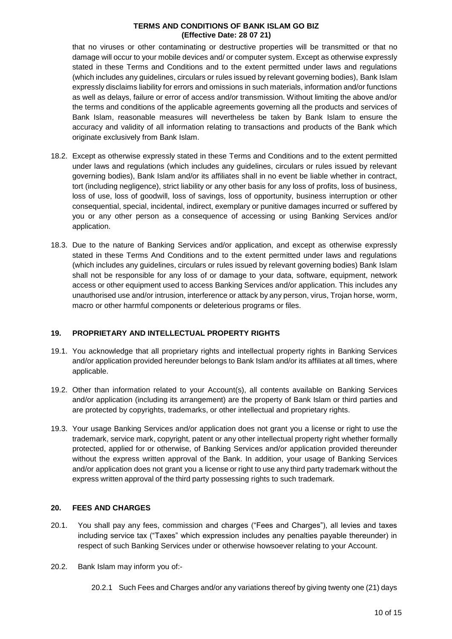that no viruses or other contaminating or destructive properties will be transmitted or that no damage will occur to your mobile devices and/ or computer system. Except as otherwise expressly stated in these Terms and Conditions and to the extent permitted under laws and regulations (which includes any guidelines, circulars or rules issued by relevant governing bodies), Bank Islam expressly disclaims liability for errors and omissions in such materials, information and/or functions as well as delays, failure or error of access and/or transmission. Without limiting the above and/or the terms and conditions of the applicable agreements governing all the products and services of Bank Islam, reasonable measures will nevertheless be taken by Bank Islam to ensure the accuracy and validity of all information relating to transactions and products of the Bank which originate exclusively from Bank Islam.

- 18.2. Except as otherwise expressly stated in these Terms and Conditions and to the extent permitted under laws and regulations (which includes any guidelines, circulars or rules issued by relevant governing bodies), Bank Islam and/or its affiliates shall in no event be liable whether in contract, tort (including negligence), strict liability or any other basis for any loss of profits, loss of business, loss of use, loss of goodwill, loss of savings, loss of opportunity, business interruption or other consequential, special, incidental, indirect, exemplary or punitive damages incurred or suffered by you or any other person as a consequence of accessing or using Banking Services and/or application.
- 18.3. Due to the nature of Banking Services and/or application, and except as otherwise expressly stated in these Terms And Conditions and to the extent permitted under laws and regulations (which includes any guidelines, circulars or rules issued by relevant governing bodies) Bank Islam shall not be responsible for any loss of or damage to your data, software, equipment, network access or other equipment used to access Banking Services and/or application. This includes any unauthorised use and/or intrusion, interference or attack by any person, virus, Trojan horse, worm, macro or other harmful components or deleterious programs or files.

# **19. PROPRIETARY AND INTELLECTUAL PROPERTY RIGHTS**

- 19.1. You acknowledge that all proprietary rights and intellectual property rights in Banking Services and/or application provided hereunder belongs to Bank Islam and/or its affiliates at all times, where applicable.
- 19.2. Other than information related to your Account(s), all contents available on Banking Services and/or application (including its arrangement) are the property of Bank Islam or third parties and are protected by copyrights, trademarks, or other intellectual and proprietary rights.
- 19.3. Your usage Banking Services and/or application does not grant you a license or right to use the trademark, service mark, copyright, patent or any other intellectual property right whether formally protected, applied for or otherwise, of Banking Services and/or application provided thereunder without the express written approval of the Bank. In addition, your usage of Banking Services and/or application does not grant you a license or right to use any third party trademark without the express written approval of the third party possessing rights to such trademark.

# **20. FEES AND CHARGES**

- 20.1. You shall pay any fees, commission and charges ("Fees and Charges"), all levies and taxes including service tax ("Taxes" which expression includes any penalties payable thereunder) in respect of such Banking Services under or otherwise howsoever relating to your Account.
- 20.2. Bank Islam may inform you of:-
	- 20.2.1 Such Fees and Charges and/or any variations thereof by giving twenty one (21) days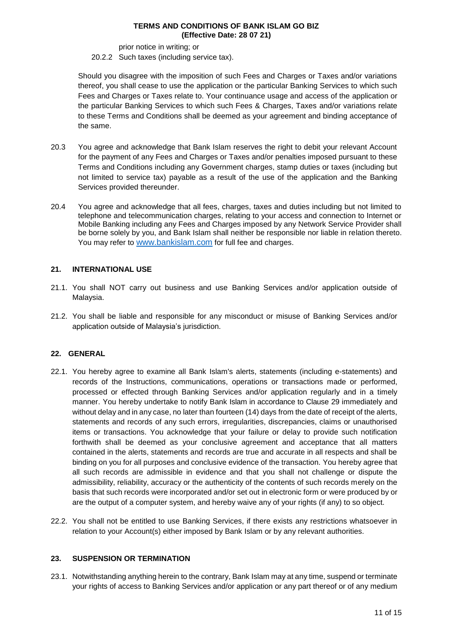prior notice in writing; or

#### 20.2.2 Such taxes (including service tax).

Should you disagree with the imposition of such Fees and Charges or Taxes and/or variations thereof, you shall cease to use the application or the particular Banking Services to which such Fees and Charges or Taxes relate to. Your continuance usage and access of the application or the particular Banking Services to which such Fees & Charges, Taxes and/or variations relate to these Terms and Conditions shall be deemed as your agreement and binding acceptance of the same.

- 20.3 You agree and acknowledge that Bank Islam reserves the right to debit your relevant Account for the payment of any Fees and Charges or Taxes and/or penalties imposed pursuant to these Terms and Conditions including any Government charges, stamp duties or taxes (including but not limited to service tax) payable as a result of the use of the application and the Banking Services provided thereunder.
- 20.4 You agree and acknowledge that all fees, charges, taxes and duties including but not limited to telephone and telecommunication charges, relating to your access and connection to Internet or Mobile Banking including any Fees and Charges imposed by any Network Service Provider shall be borne solely by you, and Bank Islam shall neither be responsible nor liable in relation thereto. You may refer to [www.bankislam.com](http://www.bankislam.com/) for full fee and charges.

# **21. INTERNATIONAL USE**

- 21.1. You shall NOT carry out business and use Banking Services and/or application outside of Malaysia.
- 21.2. You shall be liable and responsible for any misconduct or misuse of Banking Services and/or application outside of Malaysia's jurisdiction.

# **22. GENERAL**

- 22.1. You hereby agree to examine all Bank Islam's alerts, statements (including e-statements) and records of the Instructions, communications, operations or transactions made or performed, processed or effected through Banking Services and/or application regularly and in a timely manner. You hereby undertake to notify Bank Islam in accordance to Clause 29 immediately and without delay and in any case, no later than fourteen (14) days from the date of receipt of the alerts, statements and records of any such errors, irregularities, discrepancies, claims or unauthorised items or transactions. You acknowledge that your failure or delay to provide such notification forthwith shall be deemed as your conclusive agreement and acceptance that all matters contained in the alerts, statements and records are true and accurate in all respects and shall be binding on you for all purposes and conclusive evidence of the transaction. You hereby agree that all such records are admissible in evidence and that you shall not challenge or dispute the admissibility, reliability, accuracy or the authenticity of the contents of such records merely on the basis that such records were incorporated and/or set out in electronic form or were produced by or are the output of a computer system, and hereby waive any of your rights (if any) to so object.
- 22.2. You shall not be entitled to use Banking Services, if there exists any restrictions whatsoever in relation to your Account(s) either imposed by Bank Islam or by any relevant authorities.

# **23. SUSPENSION OR TERMINATION**

23.1. Notwithstanding anything herein to the contrary, Bank Islam may at any time, suspend or terminate your rights of access to Banking Services and/or application or any part thereof or of any medium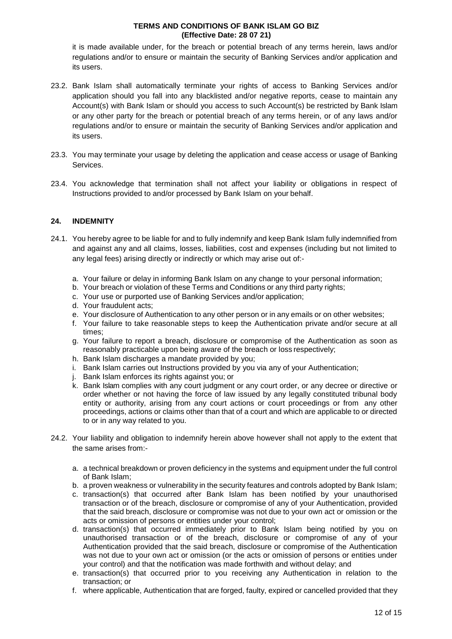it is made available under, for the breach or potential breach of any terms herein, laws and/or regulations and/or to ensure or maintain the security of Banking Services and/or application and its users.

- 23.2. Bank Islam shall automatically terminate your rights of access to Banking Services and/or application should you fall into any blacklisted and/or negative reports, cease to maintain any Account(s) with Bank Islam or should you access to such Account(s) be restricted by Bank Islam or any other party for the breach or potential breach of any terms herein, or of any laws and/or regulations and/or to ensure or maintain the security of Banking Services and/or application and its users.
- 23.3. You may terminate your usage by deleting the application and cease access or usage of Banking **Services**
- 23.4. You acknowledge that termination shall not affect your liability or obligations in respect of Instructions provided to and/or processed by Bank Islam on your behalf.

# **24. INDEMNITY**

- 24.1. You hereby agree to be liable for and to fully indemnify and keep Bank Islam fully indemnified from and against any and all claims, losses, liabilities, cost and expenses (including but not limited to any legal fees) arising directly or indirectly or which may arise out of:
	- a. Your failure or delay in informing Bank Islam on any change to your personal information;
	- b. Your breach or violation of these Terms and Conditions or any third party rights;
	- c. Your use or purported use of Banking Services and/or application;
	- d. Your fraudulent acts;
	- e. Your disclosure of Authentication to any other person or in any emails or on other websites;
	- f. Your failure to take reasonable steps to keep the Authentication private and/or secure at all times;
	- g. Your failure to report a breach, disclosure or compromise of the Authentication as soon as reasonably practicable upon being aware of the breach or loss respectively;
	- h. Bank Islam discharges a mandate provided by you;
	- i. Bank Islam carries out Instructions provided by you via any of your Authentication;
	- j. Bank Islam enforces its rights against you; or
	- k. Bank Islam complies with any court judgment or any court order, or any decree or directive or order whether or not having the force of law issued by any legally constituted tribunal body entity or authority, arising from any court actions or court proceedings or from any other proceedings, actions or claims other than that of a court and which are applicable to or directed to or in any way related to you.
- 24.2. Your liability and obligation to indemnify herein above however shall not apply to the extent that the same arises from:
	- a. a technical breakdown or proven deficiency in the systems and equipment under the full control of Bank Islam;
	- b. a proven weakness or vulnerability in the security features and controls adopted by Bank Islam;
	- c. transaction(s) that occurred after Bank Islam has been notified by your unauthorised transaction or of the breach, disclosure or compromise of any of your Authentication, provided that the said breach, disclosure or compromise was not due to your own act or omission or the acts or omission of persons or entities under your control;
	- d. transaction(s) that occurred immediately prior to Bank Islam being notified by you on unauthorised transaction or of the breach, disclosure or compromise of any of your Authentication provided that the said breach, disclosure or compromise of the Authentication was not due to your own act or omission (or the acts or omission of persons or entities under your control) and that the notification was made forthwith and without delay; and
	- e. transaction(s) that occurred prior to you receiving any Authentication in relation to the transaction; or
	- f. where applicable, Authentication that are forged, faulty, expired or cancelled provided that they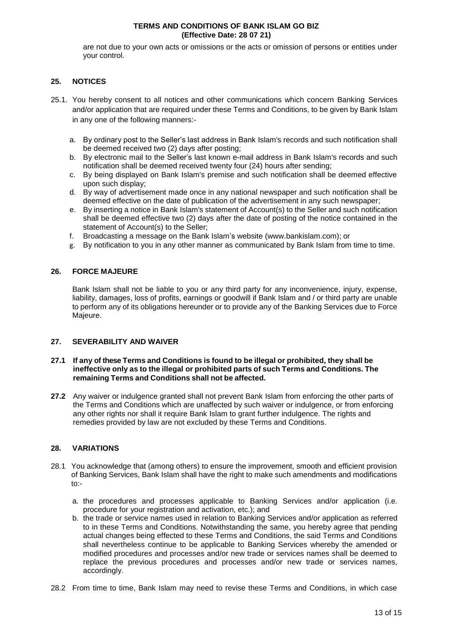are not due to your own acts or omissions or the acts or omission of persons or entities under your control.

# **25. NOTICES**

- 25.1. You hereby consent to all notices and other communications which concern Banking Services and/or application that are required under these Terms and Conditions, to be given by Bank Islam in any one of the following manners:
	- a. By ordinary post to the Seller's last address in Bank Islam's records and such notification shall be deemed received two (2) days after posting;
	- b. By electronic mail to the Seller's last known e-mail address in Bank Islam's records and such notification shall be deemed received twenty four (24) hours after sending;
	- c. By being displayed on Bank Islam's premise and such notification shall be deemed effective upon such display;
	- d. By way of advertisement made once in any national newspaper and such notification shall be deemed effective on the date of publication of the advertisement in any such newspaper;
	- e. By inserting a notice in Bank Islam's statement of Account(s) to the Seller and such notification shall be deemed effective two (2) days after the date of posting of the notice contained in the statement of Account(s) to the Seller;
	- f. Broadcasting a message on the Bank Islam's website (www.bankislam.com); or
	- g. By notification to you in any other manner as communicated by Bank Islam from time to time.

# **26. FORCE MAJEURE**

Bank Islam shall not be liable to you or any third party for any inconvenience, injury, expense, liability, damages, loss of profits, earnings or goodwill if Bank Islam and / or third party are unable to perform any of its obligations hereunder or to provide any of the Banking Services due to Force Majeure.

# **27. SEVERABILITY AND WAIVER**

#### **27.1 If any of these Terms and Conditions is found to be illegal or prohibited, they shall be ineffective only as to the illegal or prohibited parts of such Terms and Conditions. The remaining Terms and Conditions shall not be affected.**

**27.2** Any waiver or indulgence granted shall not prevent Bank Islam from enforcing the other parts of the Terms and Conditions which are unaffected by such waiver or indulgence, or from enforcing any other rights nor shall it require Bank Islam to grant further indulgence. The rights and remedies provided by law are not excluded by these Terms and Conditions.

# **28. VARIATIONS**

- 28.1 You acknowledge that (among others) to ensure the improvement, smooth and efficient provision of Banking Services, Bank Islam shall have the right to make such amendments and modifications to:
	- a. the procedures and processes applicable to Banking Services and/or application (i.e. procedure for your registration and activation, etc.); and
	- b. the trade or service names used in relation to Banking Services and/or application as referred to in these Terms and Conditions. Notwithstanding the same, you hereby agree that pending actual changes being effected to these Terms and Conditions, the said Terms and Conditions shall nevertheless continue to be applicable to Banking Services whereby the amended or modified procedures and processes and/or new trade or services names shall be deemed to replace the previous procedures and processes and/or new trade or services names, accordingly.
- 28.2 From time to time, Bank Islam may need to revise these Terms and Conditions, in which case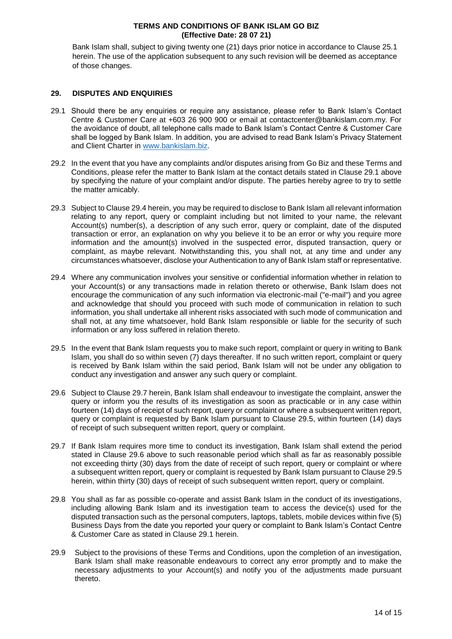Bank Islam shall, subject to giving twenty one (21) days prior notice in accordance to Clause 25.1 herein. The use of the application subsequent to any such revision will be deemed as acceptance of those changes.

# **29. DISPUTES AND ENQUIRIES**

- 29.1 Should there be any enquiries or require any assistance, please refer to Bank Islam's Contact Centre & Customer Care at +603 26 900 900 or email at contactcenter@bankislam.com.my. For the avoidance of doubt, all telephone calls made to Bank Islam's Contact Centre & Customer Care shall be logged by Bank Islam. In addition, you are advised to read Bank Islam's Privacy Statement and Client Charter in [www.bankislam.biz.](http://www.bankislam.biz/)
- 29.2 In the event that you have any complaints and/or disputes arising from Go Biz and these Terms and Conditions, please refer the matter to Bank Islam at the contact details stated in Clause 29.1 above by specifying the nature of your complaint and/or dispute. The parties hereby agree to try to settle the matter amicably.
- 29.3 Subject to Clause 29.4 herein, you may be required to disclose to Bank Islam all relevant information relating to any report, query or complaint including but not limited to your name, the relevant Account(s) number(s), a description of any such error, query or complaint, date of the disputed transaction or error, an explanation on why you believe it to be an error or why you require more information and the amount(s) involved in the suspected error, disputed transaction, query or complaint, as maybe relevant. Notwithstanding this, you shall not, at any time and under any circumstances whatsoever, disclose your Authentication to any of Bank Islam staff or representative.
- 29.4 Where any communication involves your sensitive or confidential information whether in relation to your Account(s) or any transactions made in relation thereto or otherwise, Bank Islam does not encourage the communication of any such information via electronic-mail ("e-mail") and you agree and acknowledge that should you proceed with such mode of communication in relation to such information, you shall undertake all inherent risks associated with such mode of communication and shall not, at any time whatsoever, hold Bank Islam responsible or liable for the security of such information or any loss suffered in relation thereto.
- 29.5 In the event that Bank Islam requests you to make such report, complaint or query in writing to Bank Islam, you shall do so within seven (7) days thereafter. If no such written report, complaint or query is received by Bank Islam within the said period, Bank Islam will not be under any obligation to conduct any investigation and answer any such query or complaint.
- 29.6 Subject to Clause 29.7 herein, Bank Islam shall endeavour to investigate the complaint, answer the query or inform you the results of its investigation as soon as practicable or in any case within fourteen (14) days of receipt of such report, query or complaint or where a subsequent written report, query or complaint is requested by Bank Islam pursuant to Clause 29.5, within fourteen (14) days of receipt of such subsequent written report, query or complaint.
- 29.7 If Bank Islam requires more time to conduct its investigation, Bank Islam shall extend the period stated in Clause 29.6 above to such reasonable period which shall as far as reasonably possible not exceeding thirty (30) days from the date of receipt of such report, query or complaint or where a subsequent written report, query or complaint is requested by Bank Islam pursuant to Clause 29.5 herein, within thirty (30) days of receipt of such subsequent written report, query or complaint.
- 29.8 You shall as far as possible co-operate and assist Bank Islam in the conduct of its investigations, including allowing Bank Islam and its investigation team to access the device(s) used for the disputed transaction such as the personal computers, laptops, tablets, mobile devices within five (5) Business Days from the date you reported your query or complaint to Bank Islam's Contact Centre & Customer Care as stated in Clause 29.1 herein.
- 29.9 Subject to the provisions of these Terms and Conditions, upon the completion of an investigation, Bank Islam shall make reasonable endeavours to correct any error promptly and to make the necessary adjustments to your Account(s) and notify you of the adjustments made pursuant thereto.